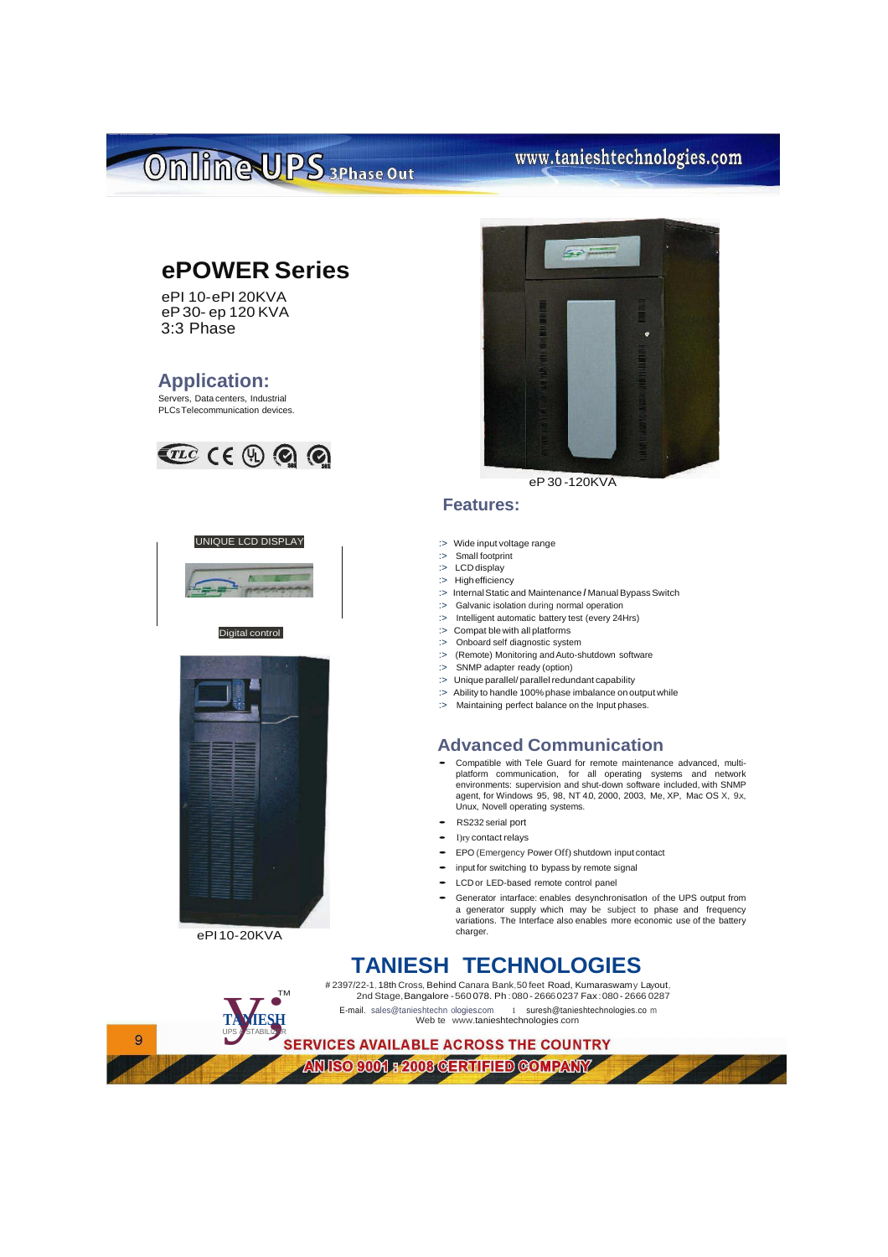# Omlime UPS 3Phase Out

### www.tanieshtechnologies.com

### **ePOWER Series**

ePI 10-ePI 20KVA eP30- ep 120 KVA 3:3 Phase

#### **Application:**

Servers, Data centers, Industrial PLCsTelecommunication devices.







ePI10-20KVA

TA VIESH

**TANIESH** UPS & STABILIZER

TM



eP30 -120KVA

#### **Features:**

- :> Wide input voltage range
- :> Small footprint :> LCDdisplay
- :> High efficiency
- :> Internal Static and Maintenance / Manual Bypass Switch
- :> Galvanic isolation during normal operation
- :> Intelligent automatic battery test (every 24Hrs) :> Compat blewith all platforms
- :> Onboard self diagnostic system
- :> (Remote) Monitoring and Auto-shutdown software
- :> SNMP adapter ready (option)
- : > Unique parallel/ parallel redundant capability
- :> Ability to handle 100% phase imbalance on output while
- : > Maintaining perfect balance on the Input phases.

#### **Advanced Communication**

- Compatible with Tele Guard for remote maintenance advanced, multiplatform communication, for all operating systems and network environments: supervision and shut-down software included, with SNMP agent, for Windows 95, 98, NT 40, 2000, 2003, Me, XP, Mac OS X, 9x, Unux, Novell operating systems.
- RS232 serial port
- l)ry contact relays
- EPO (Emergency Power Off) shutdown input contact
- input for switching to bypass by remote signal
- LCD or LED-based remote control panel
- Generator intarface: enables desynchronisatlon of the UPS output from a generator supply which may be subject to phase and frequency variations. The Interface also enables more economic use of the battery charger.

### **TANIESH TECHNOLOGIES**

# 2397/22-1,18th Cross, Behind Canara Bank,50 feet Road, Kumaraswamy Layout, 2nd Stage,Bangalore -560 078. Ph :080- 26660237 Fax:080 - 2666 0287 E-mail. sales@tanieshtechn ologies.com 1 [suresh@tanieshtechnologies.co](mailto:suresh@tanieshtechnologies.com) m Web te [www.tanieshtechnologies.corn](http://www.tanieshtechnologies.corn/)

ANISO 9001 F 2008 GERTIFIED GOMPANY

 $\overline{9}$